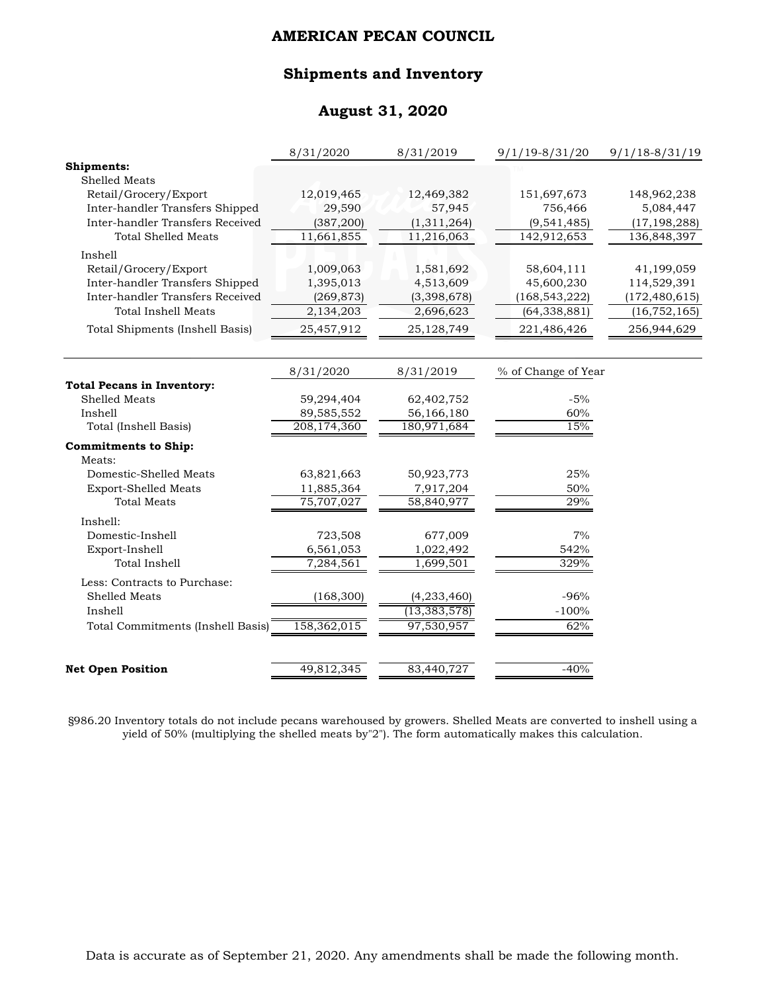#### **Shipments and Inventory**

## **August 31, 2020**

|                                   | 8/31/2020   | 8/31/2019      | $9/1/19 - 8/31/20$  | $9/1/18 - 8/31/19$ |
|-----------------------------------|-------------|----------------|---------------------|--------------------|
| Shipments:                        |             |                |                     |                    |
| Shelled Meats                     |             |                |                     |                    |
| Retail/Grocery/Export             | 12,019,465  | 12,469,382     | 151,697,673         | 148,962,238        |
| Inter-handler Transfers Shipped   | 29,590      | 57,945         | 756,466             | 5,084,447          |
| Inter-handler Transfers Received  | (387, 200)  | (1,311,264)    | (9, 541, 485)       | (17, 198, 288)     |
| <b>Total Shelled Meats</b>        | 11,661,855  | 11,216,063     | 142,912,653         | 136,848,397        |
| Inshell                           |             |                |                     |                    |
| Retail/Grocery/Export             | 1,009,063   | 1,581,692      | 58,604,111          | 41,199,059         |
| Inter-handler Transfers Shipped   | 1,395,013   | 4,513,609      | 45,600,230          | 114,529,391        |
| Inter-handler Transfers Received  | (269, 873)  | (3,398,678)    | (168, 543, 222)     | (172, 480, 615)    |
| <b>Total Inshell Meats</b>        | 2,134,203   | 2,696,623      | (64, 338, 881)      | (16, 752, 165)     |
| Total Shipments (Inshell Basis)   | 25,457,912  | 25,128,749     | 221,486,426         | 256,944,629        |
|                                   | 8/31/2020   | 8/31/2019      | % of Change of Year |                    |
| <b>Total Pecans in Inventory:</b> |             |                |                     |                    |
| Shelled Meats                     | 59,294,404  | 62,402,752     | $-5%$               |                    |
| Inshell                           | 89,585,552  | 56,166,180     | 60%                 |                    |
| Total (Inshell Basis)             | 208,174,360 | 180,971,684    | 15%                 |                    |
| <b>Commitments to Ship:</b>       |             |                |                     |                    |
| Meats:                            |             |                |                     |                    |
| Domestic-Shelled Meats            | 63,821,663  | 50,923,773     | 25%                 |                    |
| <b>Export-Shelled Meats</b>       | 11,885,364  | 7,917,204      | 50%                 |                    |
| <b>Total Meats</b>                | 75,707,027  | 58,840,977     | 29%                 |                    |
| Inshell:                          |             |                |                     |                    |
| Domestic-Inshell                  | 723,508     | 677,009        | 7%                  |                    |
| Export-Inshell                    | 6,561,053   | 1,022,492      | 542%                |                    |
| <b>Total Inshell</b>              | 7,284,561   | 1,699,501      | 329%                |                    |
| Less: Contracts to Purchase:      |             |                |                     |                    |
| Shelled Meats                     | (168, 300)  | (4, 233, 460)  | $-96%$              |                    |
| Inshell                           |             | (13, 383, 578) | $-100%$             |                    |
| Total Commitments (Inshell Basis) | 158,362,015 | 97,530,957     | 62%                 |                    |
| <b>Net Open Position</b>          | 49,812,345  | 83,440,727     | $-40%$              |                    |
|                                   |             |                |                     |                    |

§986.20 Inventory totals do not include pecans warehoused by growers. Shelled Meats are converted to inshell using a yield of 50% (multiplying the shelled meats by"2"). The form automatically makes this calculation.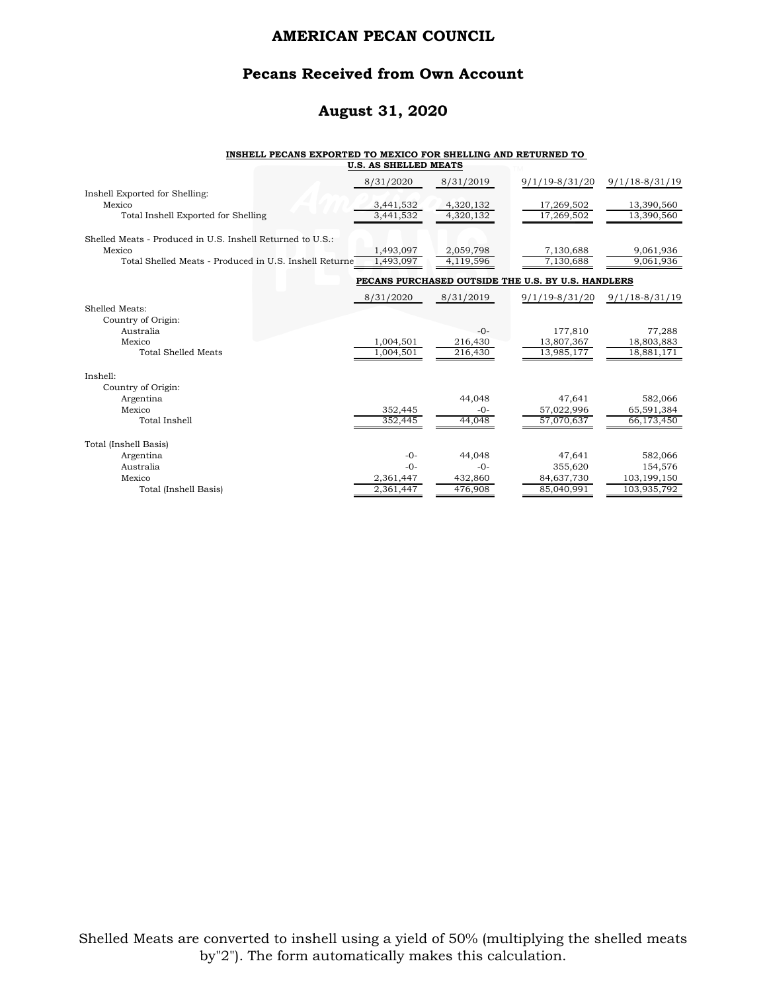#### **Pecans Received from Own Account**

### **August 31, 2020**

#### **INSHELL PECANS EXPORTED TO MEXICO FOR SHELLING AND RETURNED TO U.S. AS SHELLED MEATS**

|                                                                  | 8/31/2020              | 8/31/2019              | 9/1/19-8/31/20                                     | $9/1/18 - 8/31/19$       |
|------------------------------------------------------------------|------------------------|------------------------|----------------------------------------------------|--------------------------|
| Inshell Exported for Shelling:<br>Mexico                         | 3,441,532              | 4,320,132              | 17,269,502                                         | 13,390,560               |
| Total Inshell Exported for Shelling                              | 3,441,532              | 4,320,132              | 17,269,502                                         | 13,390,560               |
| Shelled Meats - Produced in U.S. Inshell Returned to U.S.:       |                        |                        |                                                    |                          |
| Mexico<br>Total Shelled Meats - Produced in U.S. Inshell Returne | 1,493,097<br>1,493,097 | 2,059,798<br>4,119,596 | 7,130,688<br>7,130,688                             | 9,061,936<br>9,061,936   |
|                                                                  |                        |                        | PECANS PURCHASED OUTSIDE THE U.S. BY U.S. HANDLERS |                          |
|                                                                  | 8/31/2020              | 8/31/2019              | 9/1/19-8/31/20                                     | $9/1/18-8/31/19$         |
| Shelled Meats:<br>Country of Origin:                             |                        |                        |                                                    |                          |
| Australia                                                        |                        | $-0-$                  | 177,810                                            | 77,288                   |
| Mexico<br><b>Total Shelled Meats</b>                             | 1,004,501<br>1,004,501 | 216,430<br>216,430     | 13,807,367<br>13,985,177                           | 18,803,883<br>18,881,171 |
| Inshell:                                                         |                        |                        |                                                    |                          |
| Country of Origin:                                               |                        |                        |                                                    |                          |
| Argentina                                                        |                        | 44.048                 | 47,641                                             | 582,066                  |
| Mexico<br>Total Inshell                                          | 352,445<br>352,445     | $-0-$<br>44,048        | 57,022,996<br>57,070,637                           | 65,591,384<br>66,173,450 |
|                                                                  |                        |                        |                                                    |                          |
| Total (Inshell Basis)                                            |                        |                        |                                                    |                          |
| Argentina                                                        | $-0-$                  | 44.048                 | 47,641                                             | 582,066                  |
| Australia<br>Mexico                                              | $-0-$<br>2,361,447     | $-0-$<br>432,860       | 355,620<br>84,637,730                              | 154,576<br>103,199,150   |
| Total (Inshell Basis)                                            | 2,361,447              | 476,908                | 85,040,991                                         | 103,935,792              |
|                                                                  |                        |                        |                                                    |                          |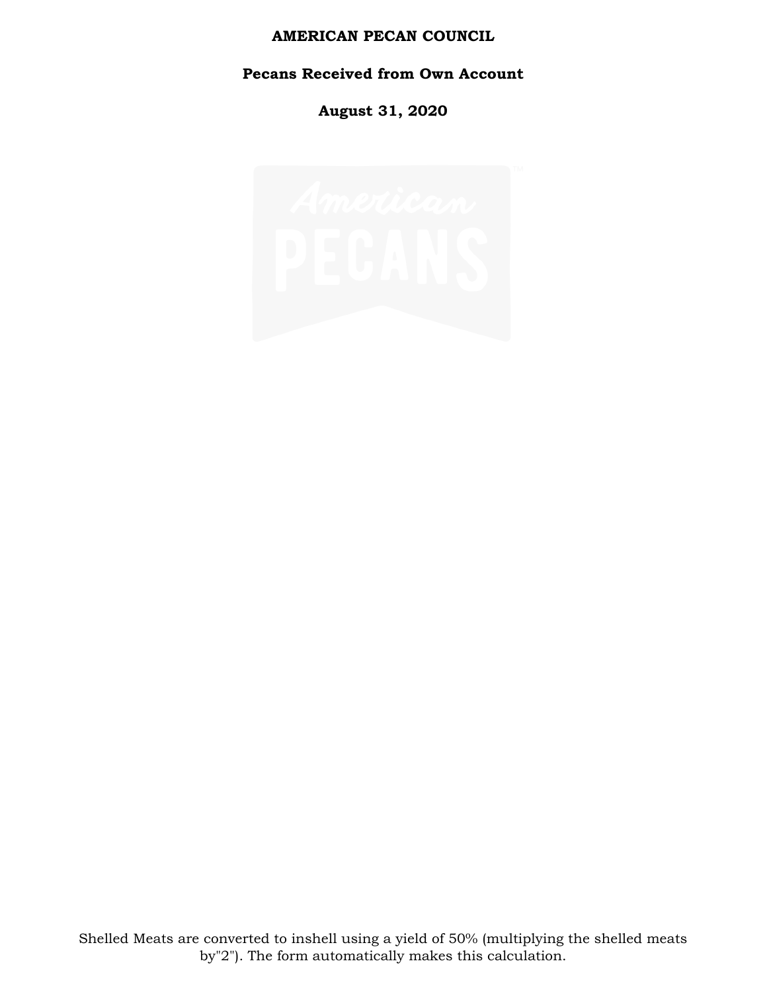# **Pecans Received from Own Account**

**August 31, 2020**

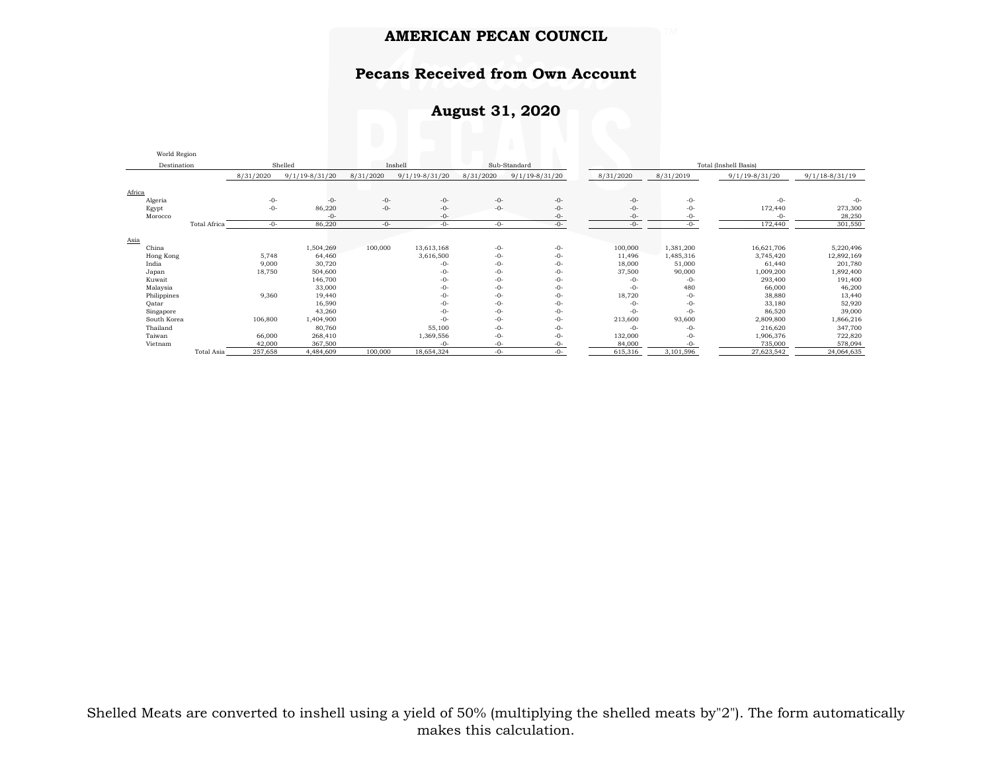## **Pecans Received from Own Account**

## **August 31, 2020**

|             | World Region |           |                                    |           |                    |                       |                    |           |           |                    |                    |
|-------------|--------------|-----------|------------------------------------|-----------|--------------------|-----------------------|--------------------|-----------|-----------|--------------------|--------------------|
|             | Destination  |           | Shelled<br>Inshell<br>Sub-Standard |           |                    | Total (Inshell Basis) |                    |           |           |                    |                    |
|             |              | 8/31/2020 | $9/1/19 - 8/31/20$                 | 8/31/2020 | $9/1/19 - 8/31/20$ | 8/31/2020             | $9/1/19 - 8/31/20$ | 8/31/2020 | 8/31/2019 | $9/1/19 - 8/31/20$ | $9/1/18 - 8/31/19$ |
| Africa      |              |           |                                    |           |                    |                       |                    |           |           |                    |                    |
| Algeria     |              | $-0-$     | $-0-$                              | $-0-$     | $-0-$              | $-0-$                 | $-0-$              | $-0-$     | $-0-$     | $-0-$              | $-0-$              |
| Egypt       |              | $-0-$     | 86,220                             | $-0-$     | $-0-$              | $-0-$                 | $-0-$              | $-0-$     | $-0-$     | 172,440            | 273,300            |
| Morocco     |              |           | $-0-$                              |           | $-0-$              |                       | -0-                | -0-       | -0-       | $-0-$              | 28,250             |
|             | Total Africa | $-0-$     | 86,220                             | $-0-$     | $-0-$              | $-0-$                 | $-0-$              | $-0-$     | $-0-$     | 172,440            | 301,550            |
| Asia        |              |           |                                    |           |                    |                       |                    |           |           |                    |                    |
| China       |              |           | 1,504,269                          | 100,000   | 13,613,168         | $-0-$                 | $-0-$              | 100,000   | 1,381,200 | 16,621,706         | 5,220,496          |
| Hong Kong   |              | 5,748     | 64,460                             |           | 3,616,500          | $-0-$                 | $-0-$              | 11,496    | 1,485,316 | 3,745,420          | 12,892,169         |
| India       |              | 9,000     | 30,720                             |           | $-0-$              | -0-                   | $-0-$              | 18,000    | 51,000    | 61,440             | 201,780            |
| Japan       |              | 18,750    | 504,600                            |           | $-0-$              | $-0-$                 | $-0-$              | 37,500    | 90,000    | 1,009,200          | 1,892,400          |
| Kuwait      |              |           | 146,700                            |           | $-0-$              | $-0-$                 | $-0-$              | $-0-$     | $-0-$     | 293,400            | 191,400            |
| Malaysia    |              |           | 33,000                             |           | $-0-$              | $-0-$                 | $-0-$              | $-0-$     | 480       | 66,000             | 46,200             |
| Philippines |              | 9,360     | 19,440                             |           | $-0-$              | $-0-$                 | $-0-$              | 18,720    | $-0-$     | 38,880             | 13,440             |
| Oatar       |              |           | 16,590                             |           | $-0-$              | $-0-$                 | $-0-$              | $-0-$     | $-0-$     | 33,180             | 52,920             |
| Singapore   |              |           | 43,260                             |           | $-0-$              | $-0-$                 | $-0-$              | $-0-$     | $-0-$     | 86,520             | 39,000             |
| South Korea |              | 106,800   | 1,404,900                          |           | $-0-$              | $-0-$                 | $-0-$              | 213,600   | 93,600    | 2,809,800          | 1,866,216          |
| Thailand    |              |           | 80,760                             |           | 55,100             | $-0-$                 | $-0-$              | $-0-$     | $-0-$     | 216,620            | 347,700            |
| Taiwan      |              | 66,000    | 268,410                            |           | 1,369,556          | $-0-$                 | $-0-$              | 132,000   | $-0-$     | 1,906,376          | 722,820            |
| Vietnam     |              | 42,000    | 367.500                            |           | $-0-$              | $-()$ -               | $-0-$              | 84,000    |           | 735,000            | 578,094            |
|             | Total Asia   | 257,658   | 4,484,609                          | 100,000   | 18,654,324         | $-0-$                 | $-0-$              | 615,316   | 3,101,596 | 27,623,542         | 24,064,635         |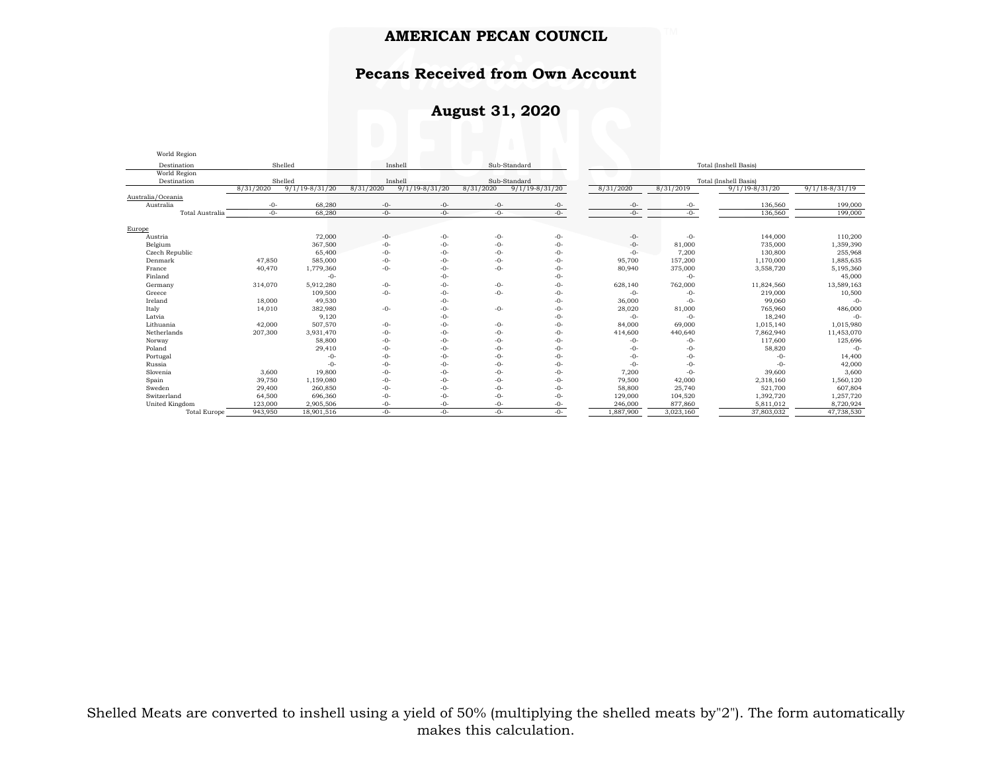# **Pecans Received from Own Account**

## **August 31, 2020**

| World Region        |                                    |                    |           |                       |           |                    |                       |           |                    |                    |  |
|---------------------|------------------------------------|--------------------|-----------|-----------------------|-----------|--------------------|-----------------------|-----------|--------------------|--------------------|--|
| Destination         | Inshell<br>Sub-Standard<br>Shelled |                    |           | Total (Inshell Basis) |           |                    |                       |           |                    |                    |  |
| World Region        |                                    |                    |           |                       |           |                    |                       |           |                    |                    |  |
| Destination         | Shelled                            |                    |           | Inshell               |           | Sub-Standard       | Total (Inshell Basis) |           |                    |                    |  |
|                     | 8/31/2020                          | $9/1/19 - 8/31/20$ | 8/31/2020 | $9/1/19 - 8/31/20$    | 8/31/2020 | $9/1/19 - 8/31/20$ | 8/31/2020             | 8/31/2019 | $9/1/19 - 8/31/20$ | $9/1/18 - 8/31/19$ |  |
| Australia/Oceania   |                                    |                    |           |                       |           |                    |                       |           |                    |                    |  |
| Australia           | $-0-$                              | 68,280             | $-0-$     | $-0-$                 | $-0-$     | -0-                | -0-                   | -0-       | 136,560            | 199,000            |  |
| Total Australia     | $-0-$                              | 68,280             | $-0-$     | $-0-$                 | $-0-$     | $-0-$              | $-0-$                 | $-0-$     | 136,560            | 199,000            |  |
| Europe              |                                    |                    |           |                       |           |                    |                       |           |                    |                    |  |
| Austria             |                                    | 72,000             | $-0-$     | $-0-$                 | $-0-$     | $-0-$              | $-0-$                 | $-0-$     | 144,000            | 110,200            |  |
| Belgium             |                                    | 367,500            | $-0-$     | $-0-$                 | $-0-$     | $-0-$              | $-0-$                 | 81,000    | 735,000            | 1,359,390          |  |
|                     |                                    | 65,400             | $-0-$     | $-0-$                 | $-0-$     | $-0-$              | $-0-$                 | 7,200     | 130,800            | 255,968            |  |
| Czech Republic      |                                    |                    |           | $-0-$                 | $-0-$     |                    |                       |           |                    |                    |  |
| Denmark             | 47,850                             | 585,000            | $-0-$     |                       |           | $-0-$              | 95,700                | 157,200   | 1,170,000          | 1,885,635          |  |
| France              | 40,470                             | 1,779,360          | $-0-$     | $-0-$                 | $-0-$     | $-0-$              | 80,940                | 375,000   | 3,558,720          | 5,195,360          |  |
| Finland             |                                    | $-0-$              |           | $-0-$                 |           | $-0-$              |                       | $-0-$     |                    | 45,000             |  |
| Germany             | 314,070                            | 5,912,280          | $-0-$     | $-0-$                 | $-0-$     | $-0-$              | 628,140               | 762,000   | 11,824,560         | 13,589,163         |  |
| Greece              |                                    | 109,500            | $-0-$     | $-0-$                 | $-0-$     | $-0-$              | $-0-$                 | $-0-$     | 219,000            | 10,500             |  |
| Ireland             | 18,000                             | 49,530             |           | $-0-$                 |           | $-0-$              | 36,000                | $-0-$     | 99,060             | $-()$ -            |  |
| Italy               | 14,010                             | 382,980            | $-0-$     | $-0-$                 | $-0-$     | $-0-$              | 28,020                | 81,000    | 765,960            | 486,000            |  |
| Latvia              |                                    | 9,120              |           | $-0-$                 |           | $-0-$              | $-0-$                 | $-0-$     | 18,240             | $-()$ -            |  |
| Lithuania           | 42,000                             | 507,570            | $-0-$     | $-0-$                 | $-0-$     | $-0-$              | 84,000                | 69,000    | 1,015,140          | 1,015,980          |  |
| Netherlands         | 207,300                            | 3,931,470          | $-0-$     | $-0-$                 | $-0-$     | $-0-$              | 414,600               | 440,640   | 7,862,940          | 11,453,070         |  |
| Norway              |                                    | 58,800             | $-0-$     | $-0-$                 | $-0-$     | $-0-$              | $-0-$                 | $-0-$     | 117,600            | 125,696            |  |
| Poland              |                                    | 29,410             | $-0-$     | $-0-$                 | $-0-$     | $-0-$              | $-0-$                 | $-0-$     | 58,820             | $-0-$              |  |
| Portugal            |                                    | $-0-$              | $-0-$     | $-0-$                 | $-0-$     | $-0-$              | $-0-$                 | $-0-$     | $-0-$              | 14,400             |  |
| Russia              |                                    | $-0-$              | $-0-$     | $-0-$                 | $-0-$     | $-0-$              | $-0-$                 | $-0-$     | $-0-$              | 42,000             |  |
| Slovenia            | 3,600                              | 19,800             | $-0-$     | $-0-$                 | $-0-$     | $-0-$              | 7,200                 | $-0-$     | 39,600             | 3,600              |  |
| Spain               | 39,750                             | 1,159,080          | $-0-$     | $-0-$                 | $-0-$     | $-0-$              | 79,500                | 42,000    | 2,318,160          | 1,560,120          |  |
| Sweden              | 29,400                             | 260,850            | $-0-$     | $-0-$                 | $-0-$     | $-0-$              | 58,800                | 25,740    | 521,700            | 607,804            |  |
| Switzerland         | 64,500                             | 696,360            | $-0-$     | $-0-$                 | $-()$ -   | $-0-$              | 129,000               | 104,520   | 1,392,720          | 1,257,720          |  |
| United Kingdom      | 123,000                            | 2,905,506          | -0-       | -0-                   | -0-       | $-0-$              | 246,000               | 877,860   | 5,811,012          | 8,720,924          |  |
| <b>Total Europe</b> | 943,950                            | 18,901,516         | $-0-$     | $-0-$                 | $-0-$     | $-0-$              | 1,887,900             | 3,023,160 | 37,803,032         | 47,738,530         |  |

Shelled Meats are converted to inshell using a yield of 50% (multiplying the shelled meats by"2"). The form automatically makes this calculation.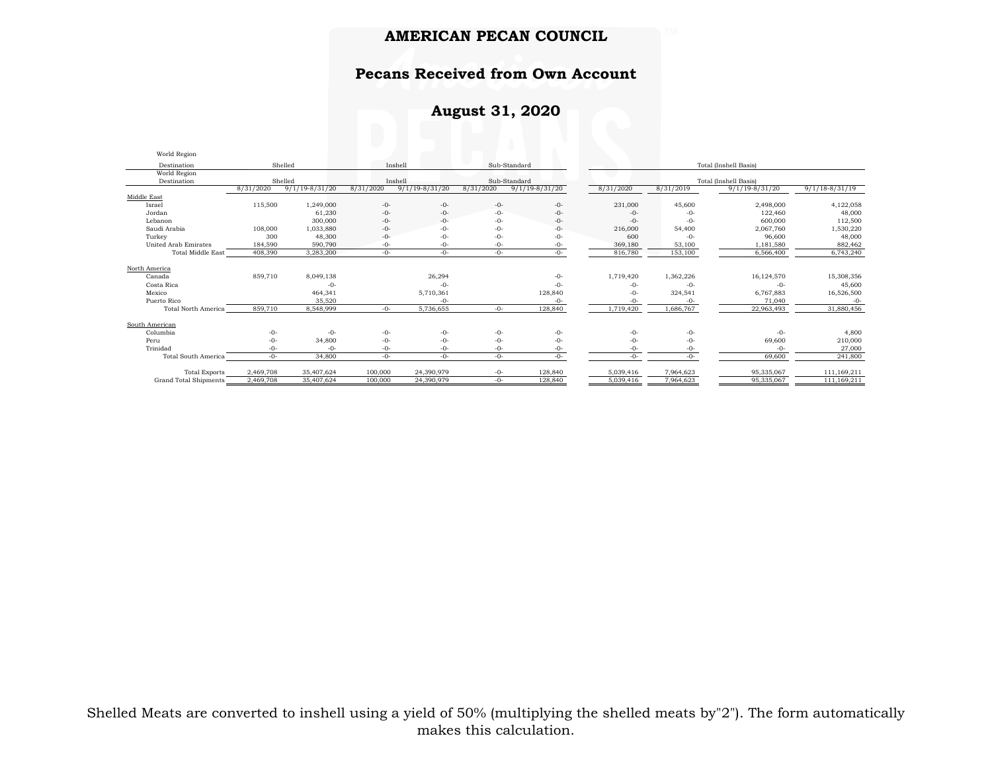#### **Pecans Received from Own Account**

## **August 31, 2020**

| World Region                |           |                    |           |                    |           |                    |           |           |                       |                    |
|-----------------------------|-----------|--------------------|-----------|--------------------|-----------|--------------------|-----------|-----------|-----------------------|--------------------|
| Destination                 |           | Shelled            |           | Inshell            |           | Sub-Standard       |           |           | Total (Inshell Basis) |                    |
| World Region                |           |                    |           |                    |           |                    |           |           |                       |                    |
| Destination                 |           | Shelled            |           | Inshell            |           | Sub-Standard       |           |           | Total (Inshell Basis) |                    |
|                             | 8/31/2020 | $9/1/19 - 8/31/20$ | 8/31/2020 | $9/1/19 - 8/31/20$ | 8/31/2020 | $9/1/19 - 8/31/20$ | 8/31/2020 | 8/31/2019 | $9/1/19 - 8/31/20$    | $9/1/18 - 8/31/19$ |
| Middle East                 |           |                    |           |                    |           |                    |           |           |                       |                    |
| Israel                      | 115,500   | 1,249,000          | $-0-$     | $-0-$              | $-0-$     | $-0-$              | 231,000   | 45,600    | 2,498,000             | 4,122,058          |
| Jordan                      |           | 61,230             | $-0-$     | $-0-$              | $-0-$     | $-0-$              | $-0-$     | $-0-$     | 122,460               | 48,000             |
| Lebanon                     |           | 300,000            | $-0-$     | $-0-$              | $-0-$     | $-0-$              | $-0-$     | $-0-$     | 600,000               | 112,500            |
| Saudi Arabia                | 108,000   | 1,033,880          | $-0-$     | $-0-$              | $-0-$     | $-0-$              | 216,000   | 54,400    | 2,067,760             | 1,530,220          |
| Turkey                      | 300       | 48,300             | $-0-$     | $-0-$              | $-0-$     | $-0-$              | 600       | $-0-$     | 96,600                | 48,000             |
| <b>United Arab Emirates</b> | 184,590   | 590,790            | -0-       | $-0-$              | -0-       | $-0-$              | 369,180   | 53,100    | 1,181,580             | 882,462            |
| <b>Total Middle East</b>    | 408,390   | 3,283,200          | $-0-$     | $-0-$              | $-0-$     | $-0-$              | 816,780   | 153,100   | 6,566,400             | 6,743,240          |
|                             |           |                    |           |                    |           |                    |           |           |                       |                    |
| North America               |           |                    |           |                    |           |                    |           |           |                       |                    |
| Canada                      | 859,710   | 8,049,138          |           | 26,294             |           | $-0-$              | 1,719,420 | 1,362,226 | 16,124,570            | 15,308,356         |
| Costa Rica                  |           | $-()$ -            |           | $-0-$              |           | $-()$ -            | $-0-$     | $-0-$     | $-0-$                 | 45,600             |
| Mexico                      |           | 464,341            |           | 5,710,361          |           | 128,840            | -0-       | 324,541   | 6,767,883             | 16,526,500         |
| Puerto Rico                 |           | 35,520             |           | $-0-$              |           | $-0-$              | -0-       | $-0-$     | 71,040                | $-0-$              |
| <b>Total North America</b>  | 859,710   | 8,548,999          | $-0-$     | 5,736,655          | $-0-$     | 128,840            | 1,719,420 | 1,686,767 | 22,963,493            | 31,880,456         |
| South American              |           |                    |           |                    |           |                    |           |           |                       |                    |
| Columbia                    | $-0-$     | $-0-$              | $-0-$     | $-0-$              | $-0-$     | $-0-$              | $-0-$     | -0-       | $-0-$                 | 4,800              |
| Peru                        | $-0-$     | 34,800             | $-0-$     | $-0-$              | $-0-$     | $-0-$              | -0-       | -0-       | 69,600                | 210,000            |
| Trinidad                    | $-0-$     | $-0-$              | $-0-$     | $-0-$              | $-0-$     | $-0-$              | -0-       | -0-       | $-0-$                 | 27,000             |
| Total South America         | $-0-$     | 34,800             | $-0-$     | $-0-$              | $-0-$     | $-0-$              | $-0-$     | $-()$ -   | 69,600                | 241,800            |
|                             |           |                    |           |                    |           |                    |           |           |                       |                    |
| <b>Total Exports</b>        | 2.469.708 | 35,407,624         | 100,000   | 24,390,979         | $-0-$     | 128,840            | 5,039,416 | 7,964,623 | 95,335,067            | 111.169.211        |
| Grand Total Shipments       | 2,469,708 | 35,407,624         | 100,000   | 24,390,979         | $-0-$     | 128,840            | 5,039,416 | 7,964,623 | 95,335,067            | 111,169,211        |